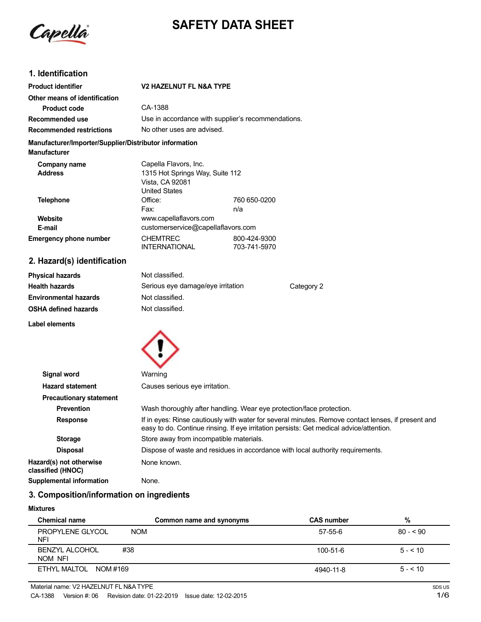

# **SAFETY DATA SHEET**

# **1. Identification**

| <b>Product identifier</b>                                                     | <b>V2 HAZELNUT FL N&amp;A TYPE</b>                                         |                                                    |  |
|-------------------------------------------------------------------------------|----------------------------------------------------------------------------|----------------------------------------------------|--|
| Other means of identification                                                 |                                                                            |                                                    |  |
| <b>Product code</b>                                                           | CA-1388                                                                    |                                                    |  |
| Recommended use                                                               |                                                                            | Use in accordance with supplier's recommendations. |  |
| <b>Recommended restrictions</b>                                               | No other uses are advised.                                                 |                                                    |  |
| Manufacturer/Importer/Supplier/Distributor information<br><b>Manufacturer</b> |                                                                            |                                                    |  |
| Company name                                                                  | Capella Flavors, Inc.                                                      |                                                    |  |
| <b>Address</b>                                                                | 1315 Hot Springs Way, Suite 112<br>Vista, CA 92081<br><b>United States</b> |                                                    |  |
| <b>Telephone</b>                                                              | Office:<br>Fax:                                                            | 760 650-0200<br>n/a                                |  |
| Website                                                                       | www.capellaflavors.com                                                     |                                                    |  |
| E-mail                                                                        | customerservice@capellaflavors.com                                         |                                                    |  |
| <b>Emergency phone number</b>                                                 | <b>CHEMTREC</b><br><b>INTERNATIONAL</b>                                    | 800-424-9300<br>703-741-5970                       |  |

# **2. Hazard(s) identification**

| Not classified.                   |            |
|-----------------------------------|------------|
| Serious eye damage/eye irritation | Category 2 |
| Not classified.                   |            |
| Not classified.                   |            |
|                                   |            |

**Label elements**



| Signal word                                  | Warning                                                                                                                                                                                       |
|----------------------------------------------|-----------------------------------------------------------------------------------------------------------------------------------------------------------------------------------------------|
| <b>Hazard statement</b>                      | Causes serious eye irritation.                                                                                                                                                                |
| <b>Precautionary statement</b>               |                                                                                                                                                                                               |
| <b>Prevention</b>                            | Wash thoroughly after handling. Wear eye protection/face protection.                                                                                                                          |
| <b>Response</b>                              | If in eyes: Rinse cautiously with water for several minutes. Remove contact lenses, if present and<br>easy to do. Continue rinsing. If eye irritation persists: Get medical advice/attention. |
| <b>Storage</b>                               | Store away from incompatible materials.                                                                                                                                                       |
| <b>Disposal</b>                              | Dispose of waste and residues in accordance with local authority requirements.                                                                                                                |
| Hazard(s) not otherwise<br>classified (HNOC) | None known.                                                                                                                                                                                   |
| <b>Supplemental information</b>              | None.                                                                                                                                                                                         |

# **3. Composition/information on ingredients**

#### **Mixtures**

| <b>Chemical name</b>             |            | Common name and synonyms | <b>CAS number</b> | %         |
|----------------------------------|------------|--------------------------|-------------------|-----------|
| PROPYLENE GLYCOL<br><b>NFI</b>   | <b>NOM</b> |                          | 57-55-6           | $80 - 90$ |
| <b>BENZYL ALCOHOL</b><br>NOM NFI | #38        |                          | $100 - 51 - 6$    | $5 - 10$  |
| ETHYL MALTOL NOM #169            |            |                          | 4940-11-8         | $5 - 510$ |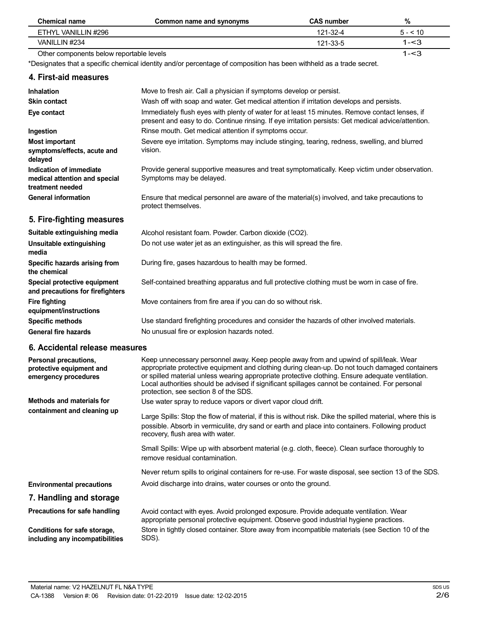| <b>Chemical name</b>                                                         | Common name and synonyms                                                                                                                                                                                                                                                                                                                                                                                                               | <b>CAS number</b> | %        |
|------------------------------------------------------------------------------|----------------------------------------------------------------------------------------------------------------------------------------------------------------------------------------------------------------------------------------------------------------------------------------------------------------------------------------------------------------------------------------------------------------------------------------|-------------------|----------|
| ETHYL VANILLIN #296                                                          |                                                                                                                                                                                                                                                                                                                                                                                                                                        | 121-32-4          | $5 - 10$ |
| VANILLIN #234                                                                |                                                                                                                                                                                                                                                                                                                                                                                                                                        | 121-33-5          | $1 - 3$  |
| Other components below reportable levels                                     |                                                                                                                                                                                                                                                                                                                                                                                                                                        |                   | $1 - 3$  |
|                                                                              | *Designates that a specific chemical identity and/or percentage of composition has been withheld as a trade secret.                                                                                                                                                                                                                                                                                                                    |                   |          |
| 4. First-aid measures                                                        |                                                                                                                                                                                                                                                                                                                                                                                                                                        |                   |          |
| <b>Inhalation</b>                                                            | Move to fresh air. Call a physician if symptoms develop or persist.                                                                                                                                                                                                                                                                                                                                                                    |                   |          |
| <b>Skin contact</b>                                                          | Wash off with soap and water. Get medical attention if irritation develops and persists.                                                                                                                                                                                                                                                                                                                                               |                   |          |
| Eye contact                                                                  | Immediately flush eyes with plenty of water for at least 15 minutes. Remove contact lenses, if<br>present and easy to do. Continue rinsing. If eye irritation persists: Get medical advice/attention.                                                                                                                                                                                                                                  |                   |          |
| Ingestion                                                                    | Rinse mouth. Get medical attention if symptoms occur.                                                                                                                                                                                                                                                                                                                                                                                  |                   |          |
| <b>Most important</b><br>symptoms/effects, acute and                         | Severe eye irritation. Symptoms may include stinging, tearing, redness, swelling, and blurred<br>vision.                                                                                                                                                                                                                                                                                                                               |                   |          |
| delayed                                                                      |                                                                                                                                                                                                                                                                                                                                                                                                                                        |                   |          |
| Indication of immediate<br>medical attention and special<br>treatment needed | Provide general supportive measures and treat symptomatically. Keep victim under observation.<br>Symptoms may be delayed.                                                                                                                                                                                                                                                                                                              |                   |          |
| <b>General information</b>                                                   | Ensure that medical personnel are aware of the material(s) involved, and take precautions to<br>protect themselves.                                                                                                                                                                                                                                                                                                                    |                   |          |
| 5. Fire-fighting measures                                                    |                                                                                                                                                                                                                                                                                                                                                                                                                                        |                   |          |
| Suitable extinguishing media                                                 | Alcohol resistant foam. Powder. Carbon dioxide (CO2).                                                                                                                                                                                                                                                                                                                                                                                  |                   |          |
| Unsuitable extinguishing<br>media                                            | Do not use water jet as an extinguisher, as this will spread the fire.                                                                                                                                                                                                                                                                                                                                                                 |                   |          |
| Specific hazards arising from<br>the chemical                                | During fire, gases hazardous to health may be formed.                                                                                                                                                                                                                                                                                                                                                                                  |                   |          |
| Special protective equipment<br>and precautions for firefighters             | Self-contained breathing apparatus and full protective clothing must be worn in case of fire.                                                                                                                                                                                                                                                                                                                                          |                   |          |
| <b>Fire fighting</b><br>equipment/instructions                               | Move containers from fire area if you can do so without risk.                                                                                                                                                                                                                                                                                                                                                                          |                   |          |
| <b>Specific methods</b>                                                      | Use standard firefighting procedures and consider the hazards of other involved materials.                                                                                                                                                                                                                                                                                                                                             |                   |          |
| <b>General fire hazards</b>                                                  | No unusual fire or explosion hazards noted.                                                                                                                                                                                                                                                                                                                                                                                            |                   |          |
| 6. Accidental release measures                                               |                                                                                                                                                                                                                                                                                                                                                                                                                                        |                   |          |
| Personal precautions,<br>protective equipment and<br>emergency procedures    | Keep unnecessary personnel away. Keep people away from and upwind of spill/leak. Wear<br>appropriate protective equipment and clothing during clean-up. Do not touch damaged containers<br>or spilled material unless wearing appropriate protective clothing. Ensure adequate ventilation.<br>Local authorities should be advised if significant spillages cannot be contained. For personal<br>protection, see section 8 of the SDS. |                   |          |
| Methods and materials for                                                    | Use water spray to reduce vapors or divert vapor cloud drift.                                                                                                                                                                                                                                                                                                                                                                          |                   |          |
| containment and cleaning up                                                  | Large Spills: Stop the flow of material, if this is without risk. Dike the spilled material, where this is<br>possible. Absorb in vermiculite, dry sand or earth and place into containers. Following product<br>recovery, flush area with water.                                                                                                                                                                                      |                   |          |
|                                                                              | Small Spills: Wipe up with absorbent material (e.g. cloth, fleece). Clean surface thoroughly to<br>remove residual contamination.                                                                                                                                                                                                                                                                                                      |                   |          |
|                                                                              | Never return spills to original containers for re-use. For waste disposal, see section 13 of the SDS.                                                                                                                                                                                                                                                                                                                                  |                   |          |
| <b>Environmental precautions</b>                                             | Avoid discharge into drains, water courses or onto the ground.                                                                                                                                                                                                                                                                                                                                                                         |                   |          |
| 7. Handling and storage                                                      |                                                                                                                                                                                                                                                                                                                                                                                                                                        |                   |          |

**Precautions for safe handling Conditions for safe storage, including any incompatibilities** Avoid contact with eyes. Avoid prolonged exposure. Provide adequate ventilation. Wear appropriate personal protective equipment. Observe good industrial hygiene practices. Store in tightly closed container. Store away from incompatible materials (see Section 10 of the SDS).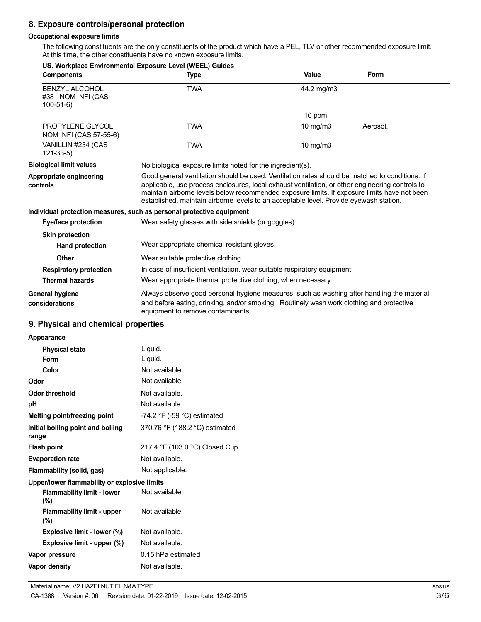# **8. Exposure controls/personal protection**

## **Occupational exposure limits**

The following constituents are the only constituents of the product which have a PEL, TLV or other recommended exposure limit. At this time, the other constituents have no known exposure limits.

| <b>Components</b>                                       | US. Workplace Environmental Exposure Level (WEEL) Guides<br><b>Type</b>                                                                                                                                                                                                                                                                                                                     | Value             | Form     |
|---------------------------------------------------------|---------------------------------------------------------------------------------------------------------------------------------------------------------------------------------------------------------------------------------------------------------------------------------------------------------------------------------------------------------------------------------------------|-------------------|----------|
| <b>BENZYL ALCOHOL</b><br>#38 NOM NFI (CAS<br>$100-51-6$ | <b>TWA</b>                                                                                                                                                                                                                                                                                                                                                                                  | 44.2 mg/m3        |          |
|                                                         |                                                                                                                                                                                                                                                                                                                                                                                             | 10 ppm            |          |
| PROPYLENE GLYCOL<br>NOM NFI (CAS 57-55-6)               | <b>TWA</b>                                                                                                                                                                                                                                                                                                                                                                                  | $10 \text{ mg/m}$ | Aerosol. |
| VANILLIN #234 (CAS<br>$121 - 33 - 5$                    | <b>TWA</b>                                                                                                                                                                                                                                                                                                                                                                                  | 10 mg/m3          |          |
| <b>Biological limit values</b>                          | No biological exposure limits noted for the ingredient(s).                                                                                                                                                                                                                                                                                                                                  |                   |          |
| Appropriate engineering<br>controls                     | Good general ventilation should be used. Ventilation rates should be matched to conditions. If<br>applicable, use process enclosures, local exhaust ventilation, or other engineering controls to<br>maintain airborne levels below recommended exposure limits. If exposure limits have not been<br>established, maintain airborne levels to an acceptable level. Provide eyewash station. |                   |          |
|                                                         | Individual protection measures, such as personal protective equipment                                                                                                                                                                                                                                                                                                                       |                   |          |
| <b>Eye/face protection</b>                              | Wear safety glasses with side shields (or goggles).                                                                                                                                                                                                                                                                                                                                         |                   |          |
| <b>Skin protection</b>                                  |                                                                                                                                                                                                                                                                                                                                                                                             |                   |          |
| Hand protection                                         | Wear appropriate chemical resistant gloves.                                                                                                                                                                                                                                                                                                                                                 |                   |          |
| Other                                                   | Wear suitable protective clothing.                                                                                                                                                                                                                                                                                                                                                          |                   |          |
| <b>Respiratory protection</b>                           | In case of insufficient ventilation, wear suitable respiratory equipment.                                                                                                                                                                                                                                                                                                                   |                   |          |
| <b>Thermal hazards</b>                                  | Wear appropriate thermal protective clothing, when necessary.                                                                                                                                                                                                                                                                                                                               |                   |          |
| <b>General hygiene</b><br>considerations                | Always observe good personal hygiene measures, such as washing after handling the material<br>and before eating, drinking, and/or smoking. Routinely wash work clothing and protective<br>equipment to remove contaminants.                                                                                                                                                                 |                   |          |

## **9. Physical and chemical properties**

| Appearance                                   |                                               |
|----------------------------------------------|-----------------------------------------------|
| <b>Physical state</b>                        | Liquid.                                       |
| Form                                         | Liquid.                                       |
| Color                                        | Not available.                                |
| Odor                                         | Not available.                                |
| <b>Odor threshold</b>                        | Not available.                                |
| рH                                           | Not available.                                |
| Melting point/freezing point                 | -74.2 $\degree$ F (-59 $\degree$ C) estimated |
| Initial boiling point and boiling<br>range   | 370.76 °F (188.2 °C) estimated                |
| <b>Flash point</b>                           | 217.4 °F (103.0 °C) Closed Cup                |
| <b>Evaporation rate</b>                      | Not available.                                |
| Flammability (solid, gas)                    | Not applicable.                               |
| Upper/lower flammability or explosive limits |                                               |
| <b>Flammability limit - lower</b><br>$(\%)$  | Not available.                                |
| Flammability limit - upper<br>$(\%)$         | Not available.                                |
| Explosive limit - lower (%)                  | Not available.                                |
| Explosive limit - upper (%)                  | Not available.                                |
| Vapor pressure                               | 0.15 hPa estimated                            |
| <b>Vapor density</b>                         | Not available.                                |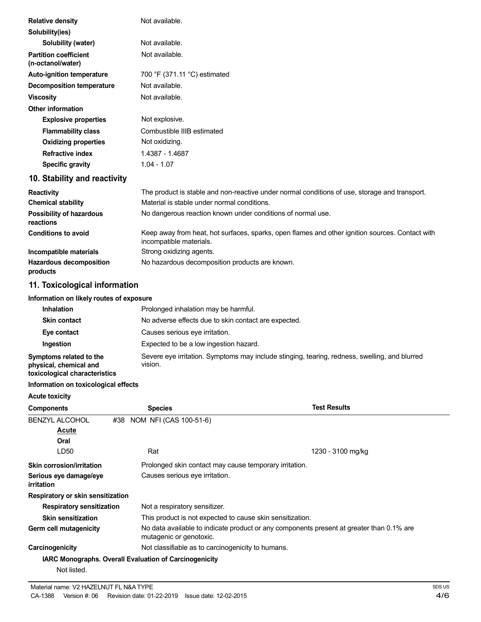| <b>Relative density</b>                           | Not available.                                                                                                             |
|---------------------------------------------------|----------------------------------------------------------------------------------------------------------------------------|
| Solubility(ies)                                   |                                                                                                                            |
| Solubility (water)                                | Not available.                                                                                                             |
| <b>Partition coefficient</b><br>(n-octanol/water) | Not available.                                                                                                             |
| <b>Auto-ignition temperature</b>                  | 700 °F (371.11 °C) estimated                                                                                               |
| <b>Decomposition temperature</b>                  | Not available.                                                                                                             |
| <b>Viscosity</b>                                  | Not available.                                                                                                             |
| <b>Other information</b>                          |                                                                                                                            |
| <b>Explosive properties</b>                       | Not explosive.                                                                                                             |
| <b>Flammability class</b>                         | Combustible IIIB estimated                                                                                                 |
| <b>Oxidizing properties</b>                       | Not oxidizing.                                                                                                             |
| <b>Refractive index</b>                           | 1.4387 - 1.4687                                                                                                            |
| Specific gravity                                  | $1.04 - 1.07$                                                                                                              |
| 10. Stability and reactivity                      |                                                                                                                            |
| <b>Reactivity</b>                                 | The product is stable and non-reactive under normal conditions of use, storage and transport.                              |
| <b>Chemical stability</b>                         | Material is stable under normal conditions.                                                                                |
| Possibility of hazardous<br>reactions             | No dangerous reaction known under conditions of normal use.                                                                |
| <b>Conditions to avoid</b>                        | Keep away from heat, hot surfaces, sparks, open flames and other ignition sources. Contact with<br>incompatible materials. |
| Incompatible materials                            | Strong oxidizing agents.                                                                                                   |
| <b>Hazardous decomposition</b><br>products        | No hazardous decomposition products are known.                                                                             |

# **11. Toxicological information**

## **Information on likely routes of exposure**

| <b>Inhalation</b>                                                                  | Prolonged inhalation may be harmful.                                                                     |
|------------------------------------------------------------------------------------|----------------------------------------------------------------------------------------------------------|
| <b>Skin contact</b>                                                                | No adverse effects due to skin contact are expected.                                                     |
| Eye contact                                                                        | Causes serious eye irritation.                                                                           |
| <b>Ingestion</b>                                                                   | Expected to be a low ingestion hazard.                                                                   |
| Symptoms related to the<br>physical, chemical and<br>toxicological characteristics | Severe eye irritation. Symptoms may include stinging, tearing, redness, swelling, and blurred<br>vision. |

## **Information on toxicological effects**

| <b>Acute toxicity</b>                |                                                               |                                                                                          |
|--------------------------------------|---------------------------------------------------------------|------------------------------------------------------------------------------------------|
| <b>Components</b>                    | <b>Species</b>                                                | <b>Test Results</b>                                                                      |
| <b>BENZYL ALCOHOL</b>                | #38 NOM NFI (CAS 100-51-6)                                    |                                                                                          |
| <u>Acute</u>                         |                                                               |                                                                                          |
| Oral                                 |                                                               |                                                                                          |
| LD50                                 | Rat                                                           | 1230 - 3100 mg/kg                                                                        |
| Skin corrosion/irritation            |                                                               | Prolonged skin contact may cause temporary irritation.                                   |
| Serious eye damage/eye<br>irritation | Causes serious eye irritation.                                |                                                                                          |
| Respiratory or skin sensitization    |                                                               |                                                                                          |
| <b>Respiratory sensitization</b>     | Not a respiratory sensitizer.                                 |                                                                                          |
| <b>Skin sensitization</b>            |                                                               | This product is not expected to cause skin sensitization.                                |
| Germ cell mutagenicity               | mutagenic or genotoxic.                                       | No data available to indicate product or any components present at greater than 0.1% are |
| Carcinogenicity                      | Not classifiable as to carcinogenicity to humans.             |                                                                                          |
|                                      | <b>IARC Monographs. Overall Evaluation of Carcinogenicity</b> |                                                                                          |
| Not listed.                          |                                                               |                                                                                          |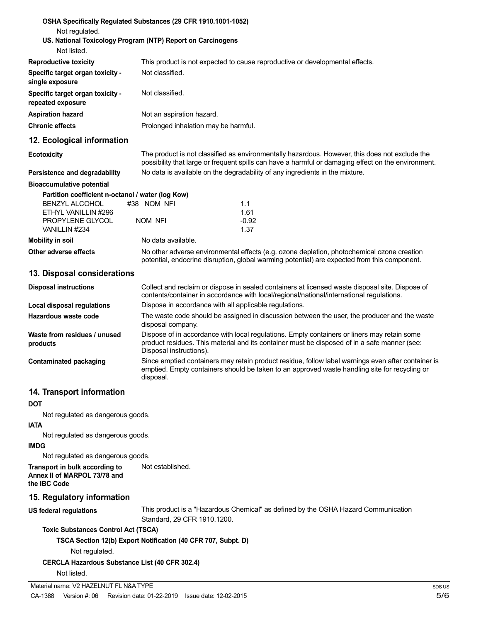| OSHA Specifically Regulated Substances (29 CFR 1910.1001-1052)<br>Not regulated.                  |                                                               |                                                                                                                                                                                                       |        |
|---------------------------------------------------------------------------------------------------|---------------------------------------------------------------|-------------------------------------------------------------------------------------------------------------------------------------------------------------------------------------------------------|--------|
| US. National Toxicology Program (NTP) Report on Carcinogens<br>Not listed.                        |                                                               |                                                                                                                                                                                                       |        |
| <b>Reproductive toxicity</b>                                                                      |                                                               | This product is not expected to cause reproductive or developmental effects.                                                                                                                          |        |
| Specific target organ toxicity -<br>single exposure                                               | Not classified.                                               |                                                                                                                                                                                                       |        |
| Specific target organ toxicity -<br>repeated exposure                                             | Not classified.                                               |                                                                                                                                                                                                       |        |
| <b>Aspiration hazard</b>                                                                          | Not an aspiration hazard.                                     |                                                                                                                                                                                                       |        |
| <b>Chronic effects</b>                                                                            | Prolonged inhalation may be harmful.                          |                                                                                                                                                                                                       |        |
| 12. Ecological information                                                                        |                                                               |                                                                                                                                                                                                       |        |
| <b>Ecotoxicity</b>                                                                                |                                                               | The product is not classified as environmentally hazardous. However, this does not exclude the<br>possibility that large or frequent spills can have a harmful or damaging effect on the environment. |        |
| Persistence and degradability                                                                     |                                                               | No data is available on the degradability of any ingredients in the mixture.                                                                                                                          |        |
| <b>Bioaccumulative potential</b>                                                                  |                                                               |                                                                                                                                                                                                       |        |
| Partition coefficient n-octanol / water (log Kow)<br><b>BENZYL ALCOHOL</b><br>ETHYL VANILLIN #296 | #38 NOM NFI                                                   | 1.1<br>1.61                                                                                                                                                                                           |        |
| PROPYLENE GLYCOL<br>VANILLIN #234                                                                 | NOM NFI                                                       | $-0.92$<br>1.37                                                                                                                                                                                       |        |
| <b>Mobility in soil</b>                                                                           | No data available.                                            |                                                                                                                                                                                                       |        |
| Other adverse effects                                                                             |                                                               | No other adverse environmental effects (e.g. ozone depletion, photochemical ozone creation<br>potential, endocrine disruption, global warming potential) are expected from this component.            |        |
| 13. Disposal considerations                                                                       |                                                               |                                                                                                                                                                                                       |        |
| <b>Disposal instructions</b>                                                                      |                                                               | Collect and reclaim or dispose in sealed containers at licensed waste disposal site. Dispose of<br>contents/container in accordance with local/regional/national/international regulations.           |        |
| <b>Local disposal regulations</b>                                                                 |                                                               | Dispose in accordance with all applicable regulations.                                                                                                                                                |        |
| Hazardous waste code                                                                              | disposal company.                                             | The waste code should be assigned in discussion between the user, the producer and the waste                                                                                                          |        |
| Waste from residues / unused<br>products                                                          | Disposal instructions).                                       | Dispose of in accordance with local regulations. Empty containers or liners may retain some<br>product residues. This material and its container must be disposed of in a safe manner (see:           |        |
| Contaminated packaging                                                                            | disposal.                                                     | Since emptied containers may retain product residue, follow label warnings even after container is<br>emptied. Empty containers should be taken to an approved waste handling site for recycling or   |        |
| 14. Transport information<br>DOT                                                                  |                                                               |                                                                                                                                                                                                       |        |
| Not regulated as dangerous goods.                                                                 |                                                               |                                                                                                                                                                                                       |        |
| <b>IATA</b>                                                                                       |                                                               |                                                                                                                                                                                                       |        |
| Not regulated as dangerous goods.<br><b>IMDG</b>                                                  |                                                               |                                                                                                                                                                                                       |        |
| Not regulated as dangerous goods.                                                                 |                                                               |                                                                                                                                                                                                       |        |
| Transport in bulk according to<br>Annex II of MARPOL 73/78 and<br>the IBC Code                    | Not established.                                              |                                                                                                                                                                                                       |        |
| 15. Regulatory information                                                                        |                                                               |                                                                                                                                                                                                       |        |
| <b>US federal regulations</b>                                                                     | Standard, 29 CFR 1910.1200.                                   | This product is a "Hazardous Chemical" as defined by the OSHA Hazard Communication                                                                                                                    |        |
| <b>Toxic Substances Control Act (TSCA)</b>                                                        |                                                               |                                                                                                                                                                                                       |        |
|                                                                                                   | TSCA Section 12(b) Export Notification (40 CFR 707, Subpt. D) |                                                                                                                                                                                                       |        |
| Not regulated.                                                                                    |                                                               |                                                                                                                                                                                                       |        |
| <b>CERCLA Hazardous Substance List (40 CFR 302.4)</b>                                             |                                                               |                                                                                                                                                                                                       |        |
| Not listed.                                                                                       |                                                               |                                                                                                                                                                                                       |        |
| Material name: V2 HAZELNUT FL N&A TYPE                                                            |                                                               |                                                                                                                                                                                                       | SDS US |
| CA-1388<br>Version #: 06                                                                          | Revision date: 01-22-2019                                     | Issue date: 12-02-2015                                                                                                                                                                                | 5/6    |